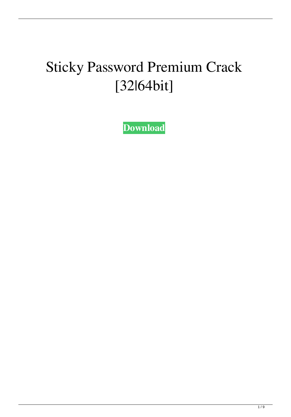## Sticky Password Premium Crack [32|64bit]

**[Download](http://evacdir.com/barkeeps/evanovich&U3RpY2t5IFBhc3N3b3JkIFByZW1pdW0U3R&illgauskas/ZG93bmxvYWR8eWQ4TkdVeGFueDhNVFkxTkRVeU1qRXhNSHg4TWpVM05IeDhLRTBwSUhKbFlXUXRZbXh2WnlCYlJtRnpkQ0JIUlU1ZA/birthfather)**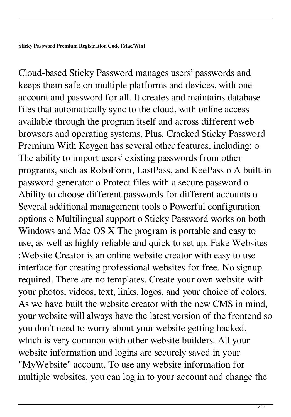Cloud-based Sticky Password manages users' passwords and keeps them safe on multiple platforms and devices, with one account and password for all. It creates and maintains database files that automatically sync to the cloud, with online access available through the program itself and across different web browsers and operating systems. Plus, Cracked Sticky Password Premium With Keygen has several other features, including: o The ability to import users' existing passwords from other programs, such as RoboForm, LastPass, and KeePass o A built-in password generator o Protect files with a secure password o Ability to choose different passwords for different accounts o Several additional management tools o Powerful configuration options o Multilingual support o Sticky Password works on both Windows and Mac OS X The program is portable and easy to use, as well as highly reliable and quick to set up. Fake Websites :Website Creator is an online website creator with easy to use interface for creating professional websites for free. No signup required. There are no templates. Create your own website with your photos, videos, text, links, logos, and your choice of colors. As we have built the website creator with the new CMS in mind, your website will always have the latest version of the frontend so you don't need to worry about your website getting hacked, which is very common with other website builders. All your website information and logins are securely saved in your "MyWebsite" account. To use any website information for multiple websites, you can log in to your account and change the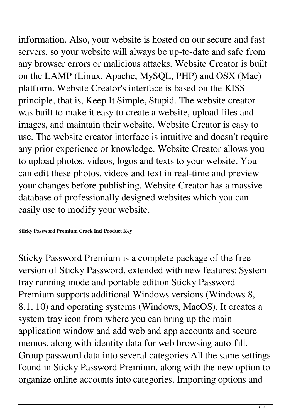information. Also, your website is hosted on our secure and fast servers, so your website will always be up-to-date and safe from any browser errors or malicious attacks. Website Creator is built on the LAMP (Linux, Apache, MySQL, PHP) and OSX (Mac) platform. Website Creator's interface is based on the KISS principle, that is, Keep It Simple, Stupid. The website creator was built to make it easy to create a website, upload files and images, and maintain their website. Website Creator is easy to use. The website creator interface is intuitive and doesn't require any prior experience or knowledge. Website Creator allows you to upload photos, videos, logos and texts to your website. You can edit these photos, videos and text in real-time and preview your changes before publishing. Website Creator has a massive database of professionally designed websites which you can easily use to modify your website.

**Sticky Password Premium Crack Incl Product Key**

Sticky Password Premium is a complete package of the free version of Sticky Password, extended with new features: System tray running mode and portable edition Sticky Password Premium supports additional Windows versions (Windows 8, 8.1, 10) and operating systems (Windows, MacOS). It creates a system tray icon from where you can bring up the main application window and add web and app accounts and secure memos, along with identity data for web browsing auto-fill. Group password data into several categories All the same settings found in Sticky Password Premium, along with the new option to organize online accounts into categories. Importing options and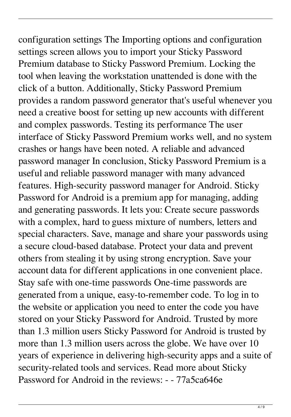configuration settings The Importing options and configuration settings screen allows you to import your Sticky Password Premium database to Sticky Password Premium. Locking the tool when leaving the workstation unattended is done with the click of a button. Additionally, Sticky Password Premium provides a random password generator that's useful whenever you need a creative boost for setting up new accounts with different and complex passwords. Testing its performance The user interface of Sticky Password Premium works well, and no system crashes or hangs have been noted. A reliable and advanced password manager In conclusion, Sticky Password Premium is a useful and reliable password manager with many advanced features. High-security password manager for Android. Sticky Password for Android is a premium app for managing, adding and generating passwords. It lets you: Create secure passwords with a complex, hard to guess mixture of numbers, letters and special characters. Save, manage and share your passwords using a secure cloud-based database. Protect your data and prevent others from stealing it by using strong encryption. Save your account data for different applications in one convenient place. Stay safe with one-time passwords One-time passwords are generated from a unique, easy-to-remember code. To log in to the website or application you need to enter the code you have stored on your Sticky Password for Android. Trusted by more than 1.3 million users Sticky Password for Android is trusted by more than 1.3 million users across the globe. We have over 10 years of experience in delivering high-security apps and a suite of security-related tools and services. Read more about Sticky Password for Android in the reviews: - - 77a5ca646e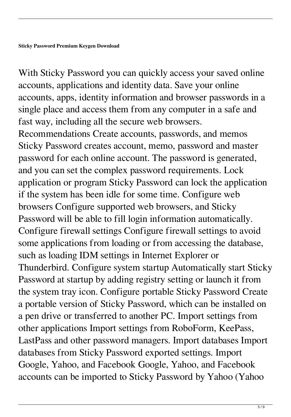With Sticky Password you can quickly access your saved online accounts, applications and identity data. Save your online accounts, apps, identity information and browser passwords in a single place and access them from any computer in a safe and fast way, including all the secure web browsers. Recommendations Create accounts, passwords, and memos Sticky Password creates account, memo, password and master password for each online account. The password is generated, and you can set the complex password requirements. Lock application or program Sticky Password can lock the application if the system has been idle for some time. Configure web browsers Configure supported web browsers, and Sticky Password will be able to fill login information automatically. Configure firewall settings Configure firewall settings to avoid some applications from loading or from accessing the database, such as loading IDM settings in Internet Explorer or Thunderbird. Configure system startup Automatically start Sticky Password at startup by adding registry setting or launch it from the system tray icon. Configure portable Sticky Password Create a portable version of Sticky Password, which can be installed on a pen drive or transferred to another PC. Import settings from other applications Import settings from RoboForm, KeePass, LastPass and other password managers. Import databases Import databases from Sticky Password exported settings. Import Google, Yahoo, and Facebook Google, Yahoo, and Facebook accounts can be imported to Sticky Password by Yahoo (Yahoo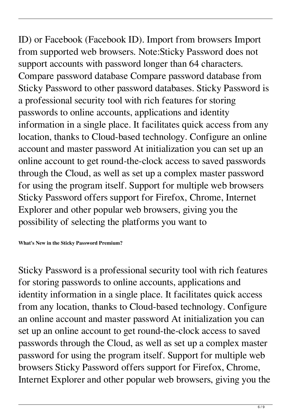ID) or Facebook (Facebook ID). Import from browsers Import from supported web browsers. Note:Sticky Password does not support accounts with password longer than 64 characters. Compare password database Compare password database from Sticky Password to other password databases. Sticky Password is a professional security tool with rich features for storing passwords to online accounts, applications and identity information in a single place. It facilitates quick access from any location, thanks to Cloud-based technology. Configure an online account and master password At initialization you can set up an online account to get round-the-clock access to saved passwords through the Cloud, as well as set up a complex master password for using the program itself. Support for multiple web browsers Sticky Password offers support for Firefox, Chrome, Internet Explorer and other popular web browsers, giving you the possibility of selecting the platforms you want to

**What's New in the Sticky Password Premium?**

Sticky Password is a professional security tool with rich features for storing passwords to online accounts, applications and identity information in a single place. It facilitates quick access from any location, thanks to Cloud-based technology. Configure an online account and master password At initialization you can set up an online account to get round-the-clock access to saved passwords through the Cloud, as well as set up a complex master password for using the program itself. Support for multiple web browsers Sticky Password offers support for Firefox, Chrome, Internet Explorer and other popular web browsers, giving you the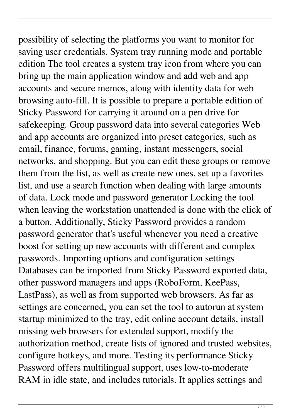possibility of selecting the platforms you want to monitor for saving user credentials. System tray running mode and portable edition The tool creates a system tray icon from where you can bring up the main application window and add web and app accounts and secure memos, along with identity data for web browsing auto-fill. It is possible to prepare a portable edition of Sticky Password for carrying it around on a pen drive for safekeeping. Group password data into several categories Web and app accounts are organized into preset categories, such as email, finance, forums, gaming, instant messengers, social networks, and shopping. But you can edit these groups or remove them from the list, as well as create new ones, set up a favorites list, and use a search function when dealing with large amounts of data. Lock mode and password generator Locking the tool when leaving the workstation unattended is done with the click of a button. Additionally, Sticky Password provides a random password generator that's useful whenever you need a creative boost for setting up new accounts with different and complex passwords. Importing options and configuration settings Databases can be imported from Sticky Password exported data, other password managers and apps (RoboForm, KeePass, LastPass), as well as from supported web browsers. As far as settings are concerned, you can set the tool to autorun at system startup minimized to the tray, edit online account details, install missing web browsers for extended support, modify the authorization method, create lists of ignored and trusted websites, configure hotkeys, and more. Testing its performance Sticky Password offers multilingual support, uses low-to-moderate RAM in idle state, and includes tutorials. It applies settings and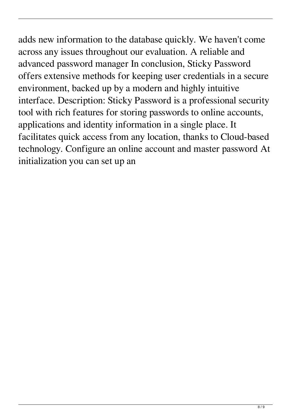adds new information to the database quickly. We haven't come across any issues throughout our evaluation. A reliable and advanced password manager In conclusion, Sticky Password offers extensive methods for keeping user credentials in a secure environment, backed up by a modern and highly intuitive interface. Description: Sticky Password is a professional security tool with rich features for storing passwords to online accounts, applications and identity information in a single place. It facilitates quick access from any location, thanks to Cloud-based technology. Configure an online account and master password At initialization you can set up an